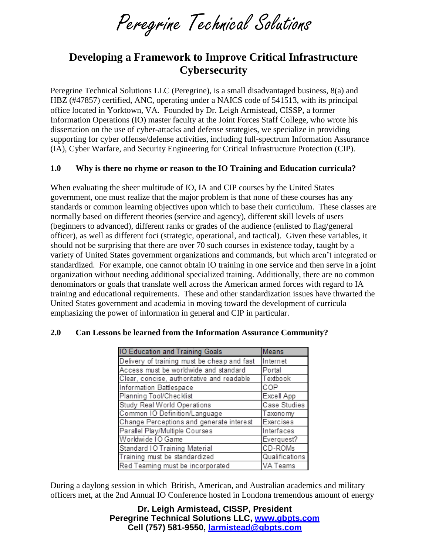Peregrine Technical Solutions

# **Developing a Framework to Improve Critical Infrastructure Cybersecurity**

Peregrine Technical Solutions LLC (Peregrine), is a small disadvantaged business, 8(a) and HBZ (#47857) certified, ANC, operating under a NAICS code of 541513, with its principal office located in Yorktown, VA. Founded by Dr. Leigh Armistead, CISSP, a former Information Operations (IO) master faculty at the Joint Forces Staff College, who wrote his dissertation on the use of cyber-attacks and defense strategies, we specialize in providing supporting for cyber offense/defense activities, including full-spectrum Information Assurance (IA), Cyber Warfare, and Security Engineering for Critical Infrastructure Protection (CIP).

#### **1.0 Why is there no rhyme or reason to the IO Training and Education curricula?**

When evaluating the sheer multitude of IO, IA and CIP courses by the United States government, one must realize that the major problem is that none of these courses has any standards or common learning objectives upon which to base their curriculum. These classes are normally based on different theories (service and agency), different skill levels of users (beginners to advanced), different ranks or grades of the audience (enlisted to flag/general officer), as well as different foci (strategic, operational, and tactical). Given these variables, it should not be surprising that there are over 70 such courses in existence today, taught by a variety of United States government organizations and commands, but which aren't integrated or standardized. For example, one cannot obtain IO training in one service and then serve in a joint organization without needing additional specialized training. Additionally, there are no common denominators or goals that translate well across the American armed forces with regard to IA training and educational requirements. These and other standardization issues have thwarted the United States government and academia in moving toward the development of curricula emphasizing the power of information in general and CIP in particular.

| <b>IO Education and Training Goals</b>      | <b>Means</b>     |
|---------------------------------------------|------------------|
| Delivery of training must be cheap and fast | Internet         |
| Access must be worldwide and standard       | Portal           |
| Clear, concise, authoritative and readable  | Textbook         |
| Information Battlespace                     | COP              |
| Planning Tool/Checklist                     | Excell App       |
| Study Real World Operations                 | Case Studies     |
| Common IO Definition/Language               | Taxonomy         |
| Change Perceptions and generate interest    | <b>Exercises</b> |
| Parallel Play/Multiple Courses              | Interfaces       |
| Worldwide IO Game                           | Everquest?       |
| Standard IO Training Material               | CD-ROMs          |
| Training must be standardized               | Qualifications   |
| Red Teaming must be incorporated            | VA Teams         |

#### **2.0 Can Lessons be learned from the Information Assurance Community?**

During a daylong session in which British, American, and Australian academics and military officers met, at the 2nd Annual IO Conference hosted in Londona tremendous amount of energy

> **Dr. Leigh Armistead, CISSP, President Peregrine Technical Solutions LLC, www.gbpts.com Cell (757) 581-9550, larmistead@gbpts.com**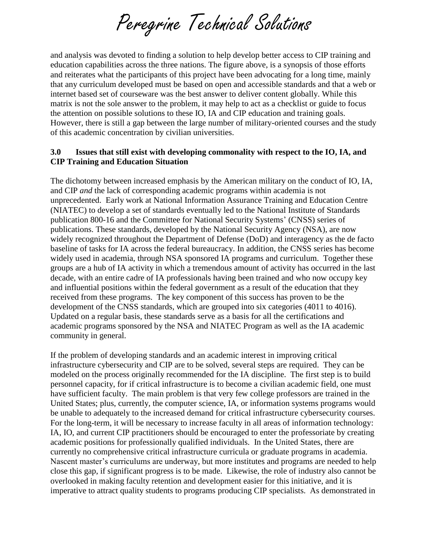Peregrine Technical Solutions

and analysis was devoted to finding a solution to help develop better access to CIP training and education capabilities across the three nations. The figure above, is a synopsis of those efforts and reiterates what the participants of this project have been advocating for a long time, mainly that any curriculum developed must be based on open and accessible standards and that a web or internet based set of courseware was the best answer to deliver content globally. While this matrix is not the sole answer to the problem, it may help to act as a checklist or guide to focus the attention on possible solutions to these IO, IA and CIP education and training goals. However, there is still a gap between the large number of military-oriented courses and the study of this academic concentration by civilian universities.

### **3.0 Issues that still exist with developing commonality with respect to the IO, IA, and CIP Training and Education Situation**

The dichotomy between increased emphasis by the American military on the conduct of IO, IA, and CIP *and* the lack of corresponding academic programs within academia is not unprecedented. Early work at National Information Assurance Training and Education Centre (NIATEC) to develop a set of standards eventually led to the National Institute of Standards publication 800-16 and the Committee for National Security Systems' (CNSS) series of publications. These standards, developed by the National Security Agency (NSA), are now widely recognized throughout the Department of Defense (DoD) and interagency as the de facto baseline of tasks for IA across the federal bureaucracy. In addition, the CNSS series has become widely used in academia, through NSA sponsored IA programs and curriculum. Together these groups are a hub of IA activity in which a tremendous amount of activity has occurred in the last decade, with an entire cadre of IA professionals having been trained and who now occupy key and influential positions within the federal government as a result of the education that they received from these programs. The key component of this success has proven to be the development of the CNSS standards, which are grouped into six categories (4011 to 4016). Updated on a regular basis, these standards serve as a basis for all the certifications and academic programs sponsored by the NSA and NIATEC Program as well as the IA academic community in general.

If the problem of developing standards and an academic interest in improving critical infrastructure cybersecurity and CIP are to be solved, several steps are required. They can be modeled on the process originally recommended for the IA discipline. The first step is to build personnel capacity, for if critical infrastructure is to become a civilian academic field, one must have sufficient faculty. The main problem is that very few college professors are trained in the United States; plus, currently, the computer science, IA, or information systems programs would be unable to adequately to the increased demand for critical infrastructure cybersecurity courses. For the long-term, it will be necessary to increase faculty in all areas of information technology: IA, IO, and current CIP practitioners should be encouraged to enter the professoriate by creating academic positions for professionally qualified individuals. In the United States, there are currently no comprehensive critical infrastructure curricula or graduate programs in academia. Nascent master's curriculums are underway, but more institutes and programs are needed to help close this gap, if significant progress is to be made. Likewise, the role of industry also cannot be overlooked in making faculty retention and development easier for this initiative, and it is imperative to attract quality students to programs producing CIP specialists. As demonstrated in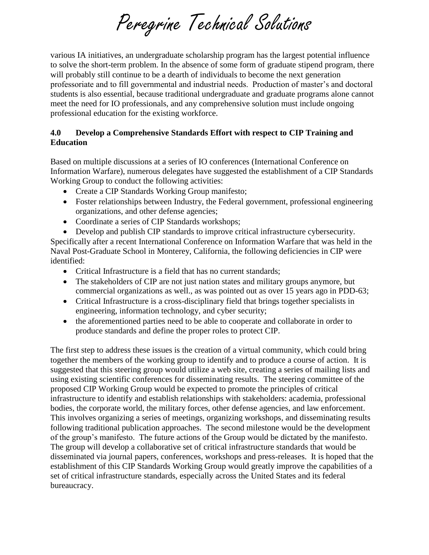Peregrine Technical Solutions

various IA initiatives, an undergraduate scholarship program has the largest potential influence to solve the short-term problem. In the absence of some form of graduate stipend program, there will probably still continue to be a dearth of individuals to become the next generation professoriate and to fill governmental and industrial needs. Production of master's and doctoral students is also essential, because traditional undergraduate and graduate programs alone cannot meet the need for IO professionals, and any comprehensive solution must include ongoing professional education for the existing workforce.

## **4.0 Develop a Comprehensive Standards Effort with respect to CIP Training and Education**

Based on multiple discussions at a series of IO conferences (International Conference on Information Warfare), numerous delegates have suggested the establishment of a CIP Standards Working Group to conduct the following activities:

- Create a CIP Standards Working Group manifesto;
- Foster relationships between Industry, the Federal government, professional engineering organizations, and other defense agencies;
- Coordinate a series of CIP Standards workshops;
- Develop and publish CIP standards to improve critical infrastructure cybersecurity.

Specifically after a recent International Conference on Information Warfare that was held in the Naval Post-Graduate School in Monterey, California, the following deficiencies in CIP were identified:

- Critical Infrastructure is a field that has no current standards:
- The stakeholders of CIP are not just nation states and military groups anymore, but commercial organizations as well., as was pointed out as over 15 years ago in PDD-63;
- Critical Infrastructure is a cross-disciplinary field that brings together specialists in engineering, information technology, and cyber security;
- the aforementioned parties need to be able to cooperate and collaborate in order to produce standards and define the proper roles to protect CIP.

The first step to address these issues is the creation of a virtual community, which could bring together the members of the working group to identify and to produce a course of action. It is suggested that this steering group would utilize a web site, creating a series of mailing lists and using existing scientific conferences for disseminating results. The steering committee of the proposed CIP Working Group would be expected to promote the principles of critical infrastructure to identify and establish relationships with stakeholders: academia, professional bodies, the corporate world, the military forces, other defense agencies, and law enforcement. This involves organizing a series of meetings, organizing workshops, and disseminating results following traditional publication approaches. The second milestone would be the development of the group's manifesto. The future actions of the Group would be dictated by the manifesto. The group will develop a collaborative set of critical infrastructure standards that would be disseminated via journal papers, conferences, workshops and press-releases. It is hoped that the establishment of this CIP Standards Working Group would greatly improve the capabilities of a set of critical infrastructure standards, especially across the United States and its federal bureaucracy.